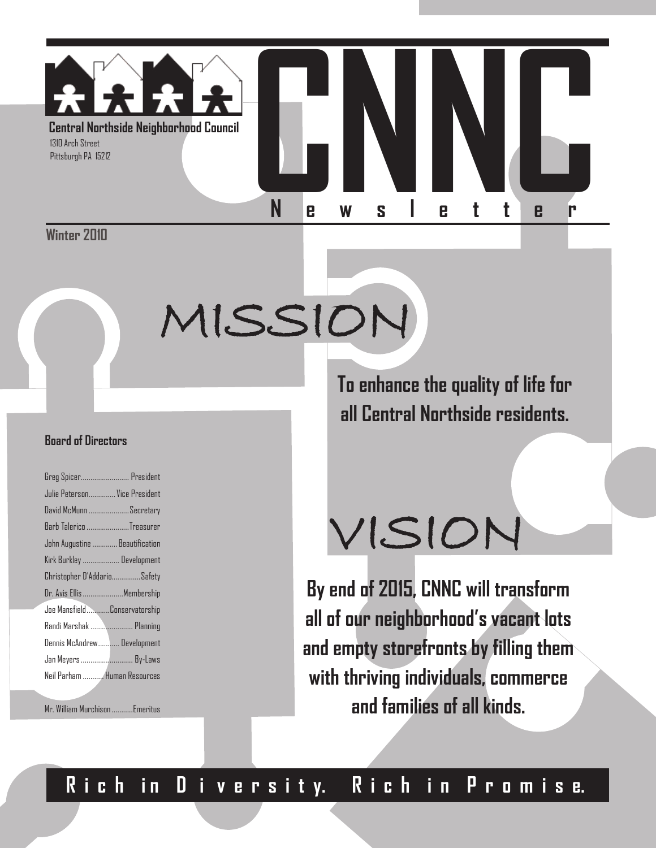

Winter 2010

# MISSION

#### **Board of Directors**

| Greg Spicer President           |
|---------------------------------|
| Julie Peterson Vice President   |
| David McMunn Secretary          |
| Barb Talerico Treasurer         |
| John Augustine Beautification   |
| Kirk Burkley  Development       |
| Christopher D'AddarioSafety     |
| Dr. Avis Ellis Membership       |
| Joe MansfieldConservatorship    |
| Randi Marshak  Planning         |
| Dennis McAndrew Development     |
| Jan Meyers  By-Laws             |
| Neil Parham  Human Resources    |
|                                 |
| Mr. William Murchison  Emeritus |

**To enhance the quality of life for all Central Northside residents.**

# VISION

**By end of 2015, CNNC will transform all of our neighborhood's vacant lots and empty storefronts by filling them with thriving individuals, commerce and families of all kinds.**

### **R i c h i n D i v e r s i t y. R i c h i n P r o m i s e.**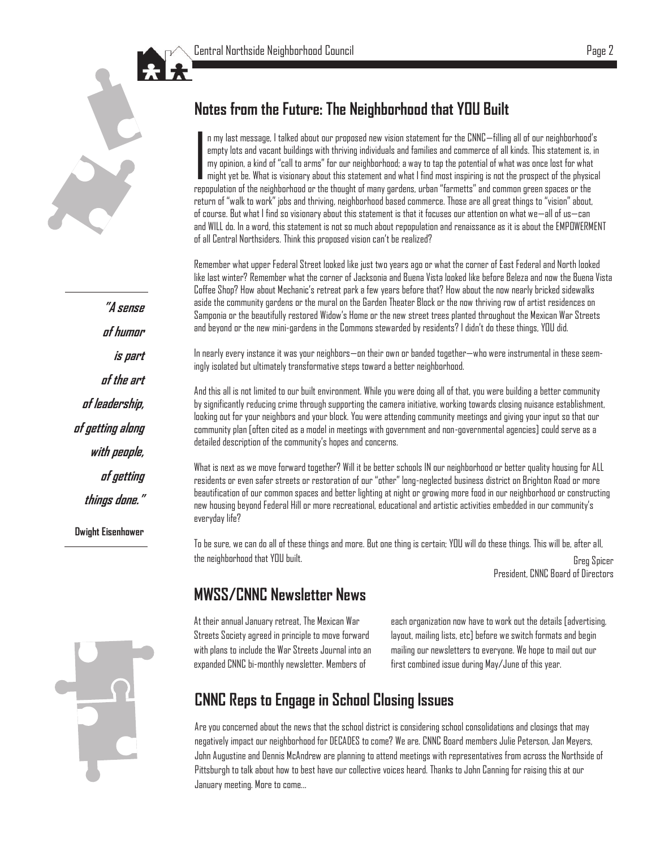

#### **Notes from the Future: The Neighborhood that YOU Built**

 $\overline{\phantom{a}}$ n my last message, I talked about our proposed new vision statement for the CNNC—filling all of our neighborhood's empty lots and vacant buildings with thriving individuals and families and commerce of all kinds. This statement is, in my opinion, a kind of "call to arms" for our neighborhood; a way to tap the potential of what was once lost for what might yet be. What is visionary about this statement and what I find most inspiring is not the prospect of the physical repopulation of the neighborhood or the thought of many gardens, urban "farmetts" and common green spaces or the return of "walk to work" jobs and thriving, neighborhood based commerce. Those are all great things to "vision" about, of course. But what I find so visionary about this statement is that it focuses our attention on what we—all of us—can and WILL do. In a word, this statement is not so much about repopulation and renaissance as it is about the EMPOWERMENT of all Central Northsiders. Think this proposed vision can't be realized?

Remember what upper Federal Street looked like just two years ago or what the corner of East Federal and North looked like last winter? Remember what the corner of Jacksonia and Buena Vista looked like before Beleza and now the Buena Vista Coffee Shop? How about Mechanic's retreat park a few years before that? How about the now nearly bricked sidewalks aside the community gardens or the mural on the Garden Theater Block or the now thriving row of artist residences on Samponia or the beautifully restored Widow's Home or the new street trees planted throughout the Mexican War Streets and beyond or the new mini-gardens in the Commons stewarded by residents? I didn't do these things, YOU did.

In nearly every instance it was your neighbors—on their own or banded together—who were instrumental in these seemingly isolated but ultimately transformative steps toward a better neighborhood.

And this all is not limited to our built environment. While you were doing all of that, you were building a better community by significantly reducing crime through supporting the camera initiative, working towards closing nuisance establishment, looking out for your neighbors and your block. You were attending community meetings and giving your input so that our community plan [often cited as a model in meetings with government and non-governmental agencies] could serve as a detailed description of the community's hopes and concerns.

What is next as we move forward together? Will it be better schools IN our neighborhood or better quality housing for ALL residents or even safer streets or restoration of our "other" long-neglected business district on Brighton Road or more beautification of our common spaces and better lighting at night or growing more food in our neighborhood or constructing new housing beyond Federal Hill or more recreational, educational and artistic activities embedded in our community's everyday life?

To be sure, we can do all of these things and more. But one thing is certain; YOU will do these things. This will be, after all, the neighborhood that YOU built. Greg Spicer

President, CNNC Board of Directors

#### **MWSS/CNNC Newsletter News**

At their annual January retreat, The Mexican War Streets Society agreed in principle to move forward with plans to include the War Streets Journal into an expanded CNNC bi-monthly newsletter. Members of

each organization now have to work out the details [advertising, layout, mailing lists, etc] before we switch formats and begin mailing our newsletters to everyone. We hope to mail out our first combined issue during May/June of this year.

#### **CNNC Reps to Engage in School Closing Issues**

Are you concerned about the news that the school district is considering school consolidations and closings that may negatively impact our neighborhood for DECADES to come? We are. CNNC Board members Julie Peterson, Jan Meyers, John Augustine and Dennis McAndrew are planning to attend meetings with representatives from across the Northside of Pittsburgh to talk about how to best have our collective voices heard. Thanks to John Canning for raising this at our January meeting. More to come...

**"A sense of humor is part of the art of leadership, of getting along with people, of getting things done."** 

**Dwight Eisenhower**

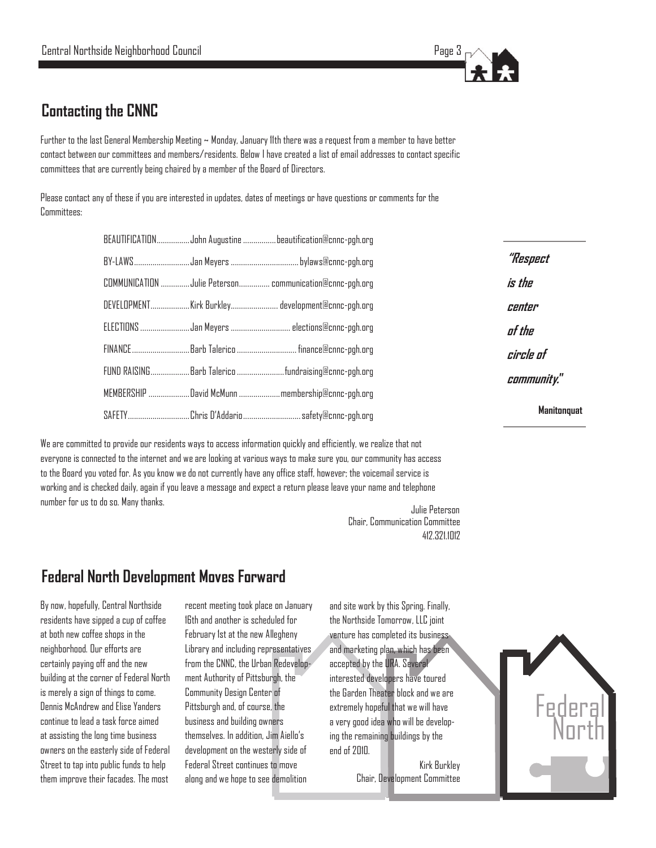

**"Respect** 

**is the** 

**center** 

**of the** 

**circle of** 

**community."**

**Manitonquat**

#### **Contacting the CNNC**

Further to the last General Membership Meeting ~ Monday, January 11th there was a request from a member to have better contact between our committees and members/residents. Below I have created a list of email addresses to contact specific committees that are currently being chaired by a member of the Board of Directors.

Please contact any of these if you are interested in updates, dates of meetings or have questions or comments for the Committees:

|  | BEAUTIFICATIONJohn Augustine beautification@cnnc-pgh.org |
|--|----------------------------------------------------------|
|  |                                                          |
|  | COMMUNICATION  Julie Peterson communication@cnnc-pgh.org |
|  | DEVELOPMENTKirk Burkley development@cnnc-pgh.org         |
|  | ELECTIONS Jan Meyers  elections@cnnc-pgh.org             |
|  | FINANCE Barb Talerico  finance@cnnc-pgh.org              |
|  | FUND RAISINGBarb Talericofundraising@cnnc-pgh.org        |
|  | MEMBERSHIP David McMunn membership@cnnc-pgh.org          |
|  | SAFETYChris D'Addario safety@cnnc-pgh.org                |

We are committed to provide our residents ways to access information quickly and efficiently, we realize that not everyone is connected to the internet and we are looking at various ways to make sure you, our community has access to the Board you voted for. As you know we do not currently have any office staff, however; the voicemail service is working and is checked daily, again if you leave a message and expect a return please leave your name and telephone number for us to do so. Many thanks.

Julie Peterson 412.321.1012 Chair, Communication Committee

#### **Federal North Development Moves Forward**

By now, hopefully, Central Northside residents have sipped a cup of coffee at both new coffee shops in the neighborhood. Our efforts are certainly paying off and the new building at the corner of Federal North is merely a sign of things to come. Dennis McAndrew and Elise Yanders continue to lead a task force aimed at assisting the long time business owners on the easterly side of Federal Street to tap into public funds to help them improve their facades. The most

recent meeting took place on January 16th and another is scheduled for February 1st at the new Allegheny Library and including representatives from the CNNC, the Urban Redevelopment Authority of Pittsburgh, the Community Design Center of Pittsburgh and, of course, the business and building owners themselves. In addition, Jim Aiello's development on the westerly side of Federal Street continues to move along and we hope to see demolition

and site work by this Spring. Finally, the Northside Tomorrow, LLC joint venture has completed its business and marketing plan, which has been accepted by the URA. Several interested developers have toured the Garden Theater block and we are extremely hopeful that we will have a very good idea who will be developing the remaining buildings by the end of 2010.

> Kirk Burkley Chair, Development Committee

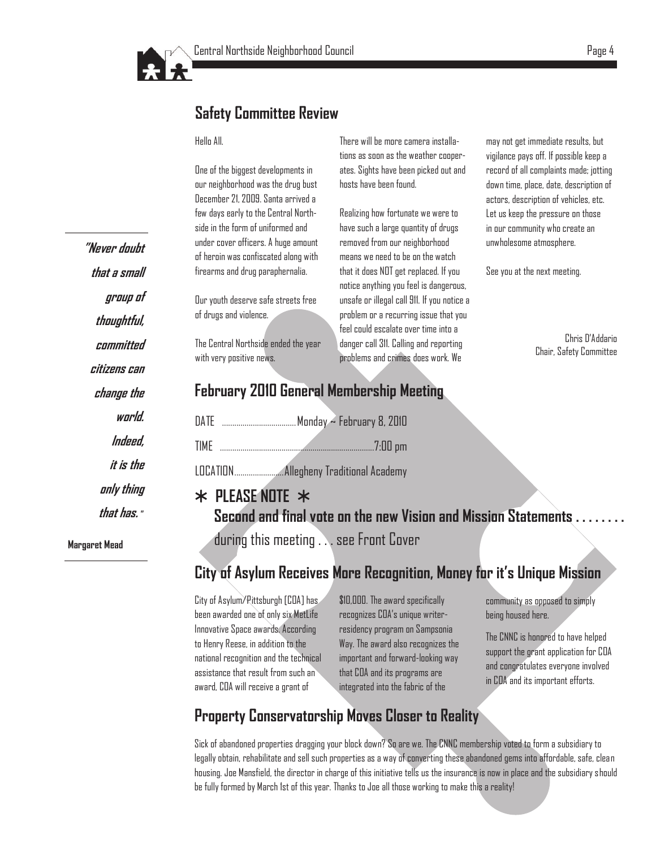

#### **Safety Committee Review**

#### Hello All.

One of the biggest developments in our neighborhood was the drug bust December 21, 2009. Santa arrived a few days early to the Central Northside in the form of uniformed and under cover officers. A huge amount of heroin was confiscated along with firearms and drug paraphernalia.

Our youth deserve safe streets free of drugs and violence.

The Central Northside ended the year with very positive news.

There will be more camera installations as soon as the weather cooperates. Sights have been picked out and hosts have been found.

Realizing how fortunate we were to have such a large quantity of drugs removed from our neighborhood means we need to be on the watch that it does NOT get replaced. If you notice anything you feel is dangerous, unsafe or illegal call 911. If you notice a problem or a recurring issue that you feel could escalate over time into a danger call 311. Calling and reporting problems and crimes does work. We

may not get immediate results, but vigilance pays off. If possible keep a record of all complaints made; jotting down time, place, date, description of actors, description of vehicles, etc. Let us keep the pressure on those in our community who create an unwholesome atmosphere.

See you at the next meeting.

Chris D'Addario Chair, Safety Committee

#### **February 2010 General Membership Meeting**

| DATE |  |
|------|--|
| TIMF |  |

LOCATION........................Allegheny Traditional Academy

#### **PLEASE NOTE**

**Second and final vote on the new Vision and Mission Statements . . . . . . . .** 

during this meeting . . . see Front Cover

#### **City of Asylum Receives More Recognition, Money for it's Unique Mission**

City of Asylum/Pittsburgh [COA] has been awarded one of only six MetLife Innovative Space awards. According to Henry Reese, in addition to the national recognition and the technical assistance that result from such an award, COA will receive a grant of

\$10,000. The award specifically recognizes COA's unique writerresidency program on Sampsonia Way. The award also recognizes the important and forward-looking way that COA and its programs are integrated into the fabric of the

community as opposed to simply being housed here.

The CNNC is honored to have helped support the grant application for COA and congratulates everyone involved in COA and its important efforts.

#### **Property Conservatorship Moves Closer to Reality**

Sick of abandoned properties dragging your block down? So are we. The CNNC membership voted to form a subsidiary to legally obtain, rehabilitate and sell such properties as a way of converting these abandoned gems into affordable, safe, clean housing. Joe Mansfield, the director in charge of this initiative tells us the insurance is now in place and the subsidiary should be fully formed by March 1st of this year. Thanks to Joe all those working to make this a reality!

**"Never doubt that a small group of thoughtful, committed citizens can change the world. Indeed, it is the only thing that has. " Margaret Mead**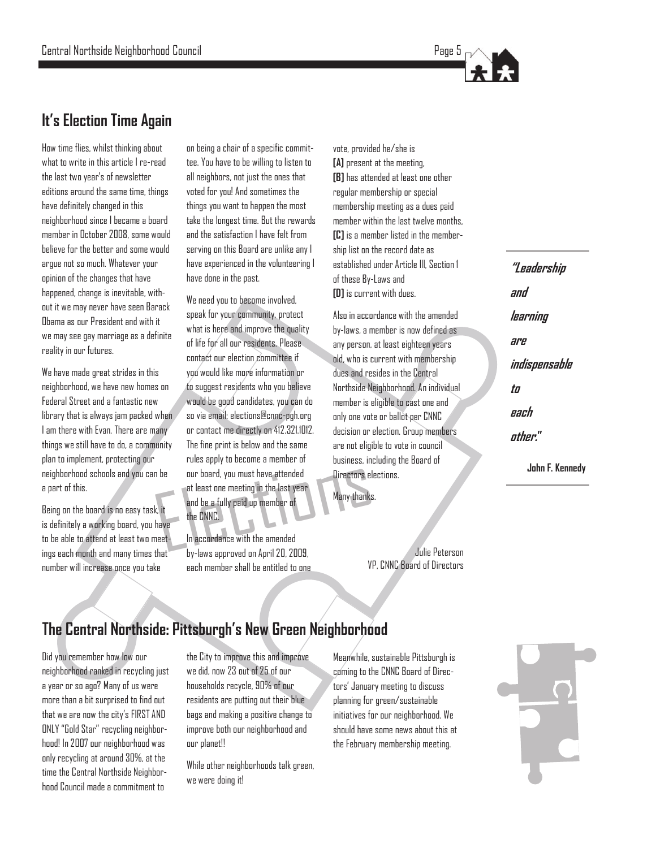

#### **It's Election Time Again**

How time flies, whilst thinking about what to write in this article I re-read the last two year's of newsletter editions around the same time, things have definitely changed in this neighborhood since I became a board member in October 2008, some would believe for the better and some would argue not so much. Whatever your opinion of the changes that have happened, change is inevitable, without it we may never have seen Barack Obama as our President and with it we may see gay marriage as a definite reality in our futures.

We have made great strides in this neighborhood, we have new homes on Federal Street and a fantastic new library that is always jam packed when I am there with Evan. There are many things we still have to do, a community plan to implement, protecting our neighborhood schools and you can be a part of this.

Being on the board is no easy task, it is definitely a working board, you have to be able to attend at least two meetings each month and many times that number will increase once you take

on being a chair of a specific committee. You have to be willing to listen to all neighbors, not just the ones that voted for you! And sometimes the things you want to happen the most take the longest time. But the rewards and the satisfaction I have felt from serving on this Board are unlike any I have experienced in the volunteering I have done in the past.

The part of the CNNC.<br>
The contract of the CNNC.<br>
The CNNC.<br>
The CNNC.<br>
The CNNC.<br>
The CNNC.<br>
The CNNC.<br>
The CNNC.<br>
The CNNC.<br>
The CNNC.<br>
The contract of the amended<br>
The contract of the contract of the contract of the con We need you to become involved. speak for your community, protect what is here and improve the quality of life for all our residents. Please contact our election committee if you would like more information or to suggest residents who you believe would be good candidates, you can do so via email: [elections@cnnc-pgh.org](mailto:elections@cnnc-pgh.org)  or contact me directly on 412.321.1012. The fine print is below and the same rules apply to become a member of our board, you must have attended at least one meeting in the last year and be a fully paid up member of the CNNC.

In accordance with the amended by-laws approved on April 20, 2009, each member shall be entitled to one vote, provided he/she is **[A]** present at the meeting, **[B]** has attended at least one other regular membership or special membership meeting as a dues paid member within the last twelve months. **[C]** is a member listed in the membership list on the record date as established under Article lll, Section 1 of these By-Laws and **[D]** is current with dues.

Also in accordance with the amended by-laws, a member is now defined as any person, at least eighteen years old, who is current with membership dues and resides in the Central Northside Neighborhood. An individual member is eligible to cast one and only one vote or ballot per CNNC decision or election. Group members are not eligible to vote in council business, including the Board of Directors elections.

Many thanks.

Julie Peterson VP, CNNC Board of Directors

## **"Leadership and learning are indispensable to each other."**

**John F. Kennedy**

#### **The Central Northside: Pittsburgh's New Green Neighborhood**

Did you remember how low our neighborhood ranked in recycling just a year or so ago? Many of us were more than a bit surprised to find out that we are now the city's FIRST AND ONLY "Gold Star" recycling neighborhood! In 2007 our neighborhood was only recycling at around 30%, at the time the Central Northside Neighborhood Council made a commitment to

the City to improve this and improve we did, now 23 out of 25 of our households recycle, 90% of our residents are putting out their blue bags and making a positive change to improve both our neighborhood and our planet!!

While other neighborhoods talk green, we were doing it!

Meanwhile, sustainable Pittsburgh is coming to the CNNC Board of Directors' January meeting to discuss planning for green/sustainable initiatives for our neighborhood. We should have some news about this at the February membership meeting.